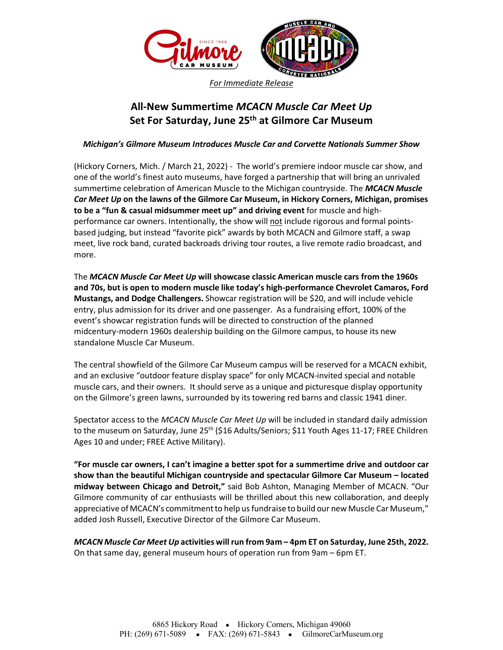

*For Immediate Release*

## **All-New Summertime** *MCACN Muscle Car Meet Up*  **Set For Saturday, June 25th at Gilmore Car Museum**

*Michigan's Gilmore Museum Introduces Muscle Car and Corvette Nationals Summer Show* 

(Hickory Corners, Mich. / March 21, 2022) - The world's premiere indoor muscle car show, and one of the world's finest auto museums, have forged a partnership that will bring an unrivaled summertime celebration of American Muscle to the Michigan countryside. The *MCACN Muscle Car Meet Up* **on the lawns of the Gilmore Car Museum, in Hickory Corners, Michigan, promises to be a "fun & casual midsummer meet up" and driving event** for muscle and highperformance car owners. Intentionally, the show will not include rigorous and formal pointsbased judging, but instead "favorite pick" awards by both MCACN and Gilmore staff, a swap meet, live rock band, curated backroads driving tour routes, a live remote radio broadcast, and more.

The *MCACN Muscle Car Meet Up* **will showcase classic American muscle cars from the 1960s and 70s, but is open to modern muscle like today's high-performance Chevrolet Camaros, Ford Mustangs, and Dodge Challengers.** Showcar registration will be \$20, and will include vehicle entry, plus admission for its driver and one passenger. As a fundraising effort, 100% of the event's showcar registration funds will be directed to construction of the planned midcentury-modern 1960s dealership building on the Gilmore campus, to house its new standalone Muscle Car Museum.

The central showfield of the Gilmore Car Museum campus will be reserved for a MCACN exhibit, and an exclusive "outdoor feature display space" for only MCACN-invited special and notable muscle cars, and their owners. It should serve as a unique and picturesque display opportunity on the Gilmore's green lawns, surrounded by its towering red barns and classic 1941 diner.

Spectator access to the *MCACN Muscle Car Meet Up* will be included in standard daily admission to the museum on Saturday, June 25<sup>th</sup> (\$16 Adults/Seniors; \$11 Youth Ages 11-17; FREE Children Ages 10 and under; FREE Active Military).

**"For muscle car owners, I can't imagine a better spot for a summertime drive and outdoor car show than the beautiful Michigan countryside and spectacular Gilmore Car Museum – located midway between Chicago and Detroit,"** said Bob Ashton, Managing Member of MCACN. "Our Gilmore community of car enthusiasts will be thrilled about this new collaboration, and deeply appreciative of MCACN's commitment to help us fundraise to build our new Muscle Car Museum," added Josh Russell, Executive Director of the Gilmore Car Museum.

*MCACN Muscle Car Meet Up* **activities will run from 9am – 4pm ET on Saturday, June 25th, 2022.**  On that same day, general museum hours of operation run from 9am – 6pm ET.